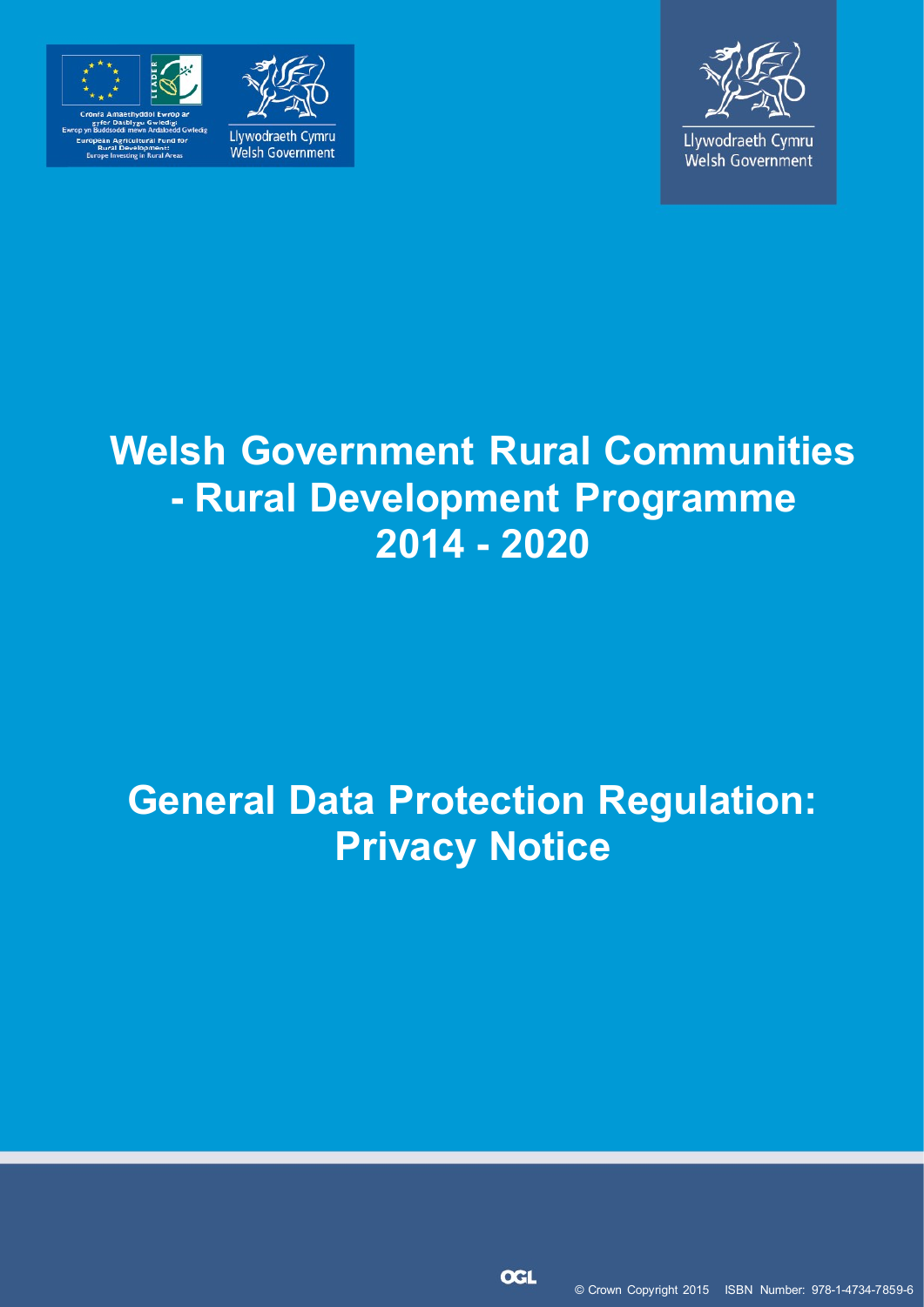





# **Welsh Government Rural Communities - Rural Development Programme 2014 - 2020**

# **General Data Protection Regulation: Privacy Notice**

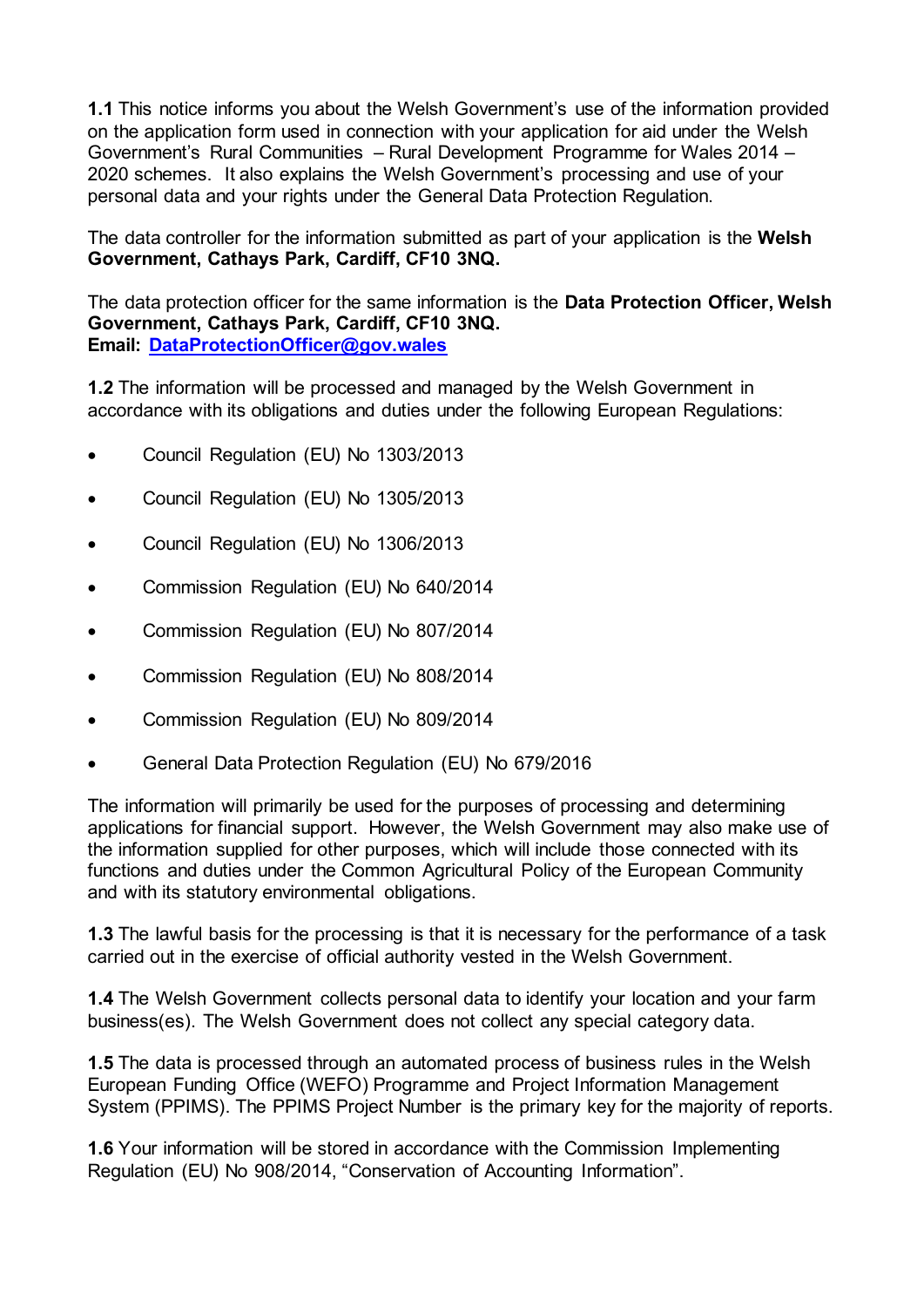**1.1** This notice informs you about the Welsh Government's use of the information provided on the application form used in connection with your application for aid under the Welsh Government's Rural Communities – Rural Development Programme for Wales 2014 – 2020 schemes. It also explains the Welsh Government's processing and use of your personal data and your rights under the General Data Protection Regulation.

The data controller for the information submitted as part of your application is the **Welsh Government, Cathays Park, Cardiff, CF10 3NQ.**

The data protection officer for the same information is the **Data Protection Officer, Welsh Government, Cathays Park, Cardiff, CF10 3NQ. Email: [DataProtectionOfficer@gov.wales](mailto:DataProtectionOfficer@gov.wales)**

**1.2** The information will be processed and managed by the Welsh Government in accordance with its obligations and duties under the following European Regulations:

- Council Regulation (EU) No 1303/2013
- Council Regulation (EU) No 1305/2013
- Council Regulation (EU) No 1306/2013
- Commission Regulation (EU) No 640/2014
- Commission Regulation (EU) No 807/2014
- Commission Regulation (EU) No 808/2014
- Commission Regulation (EU) No 809/2014
- General Data Protection Regulation (EU) No 679/2016

The information will primarily be used for the purposes of processing and determining applications for financial support. However, the Welsh Government may also make use of the information supplied for other purposes, which will include those connected with its functions and duties under the Common Agricultural Policy of the European Community and with its statutory environmental obligations.

**1.3** The lawful basis for the processing is that it is necessary for the performance of a task carried out in the exercise of official authority vested in the Welsh Government.

**1.4** The Welsh Government collects personal data to identify your location and your farm business(es). The Welsh Government does not collect any special category data.

**1.5** The data is processed through an automated process of business rules in the Welsh European Funding Office (WEFO) Programme and Project Information Management System (PPIMS). The PPIMS Project Number is the primary key for the majority of reports.

**1.6** Your information will be stored in accordance with the Commission Implementing Regulation (EU) No 908/2014, "Conservation of Accounting Information".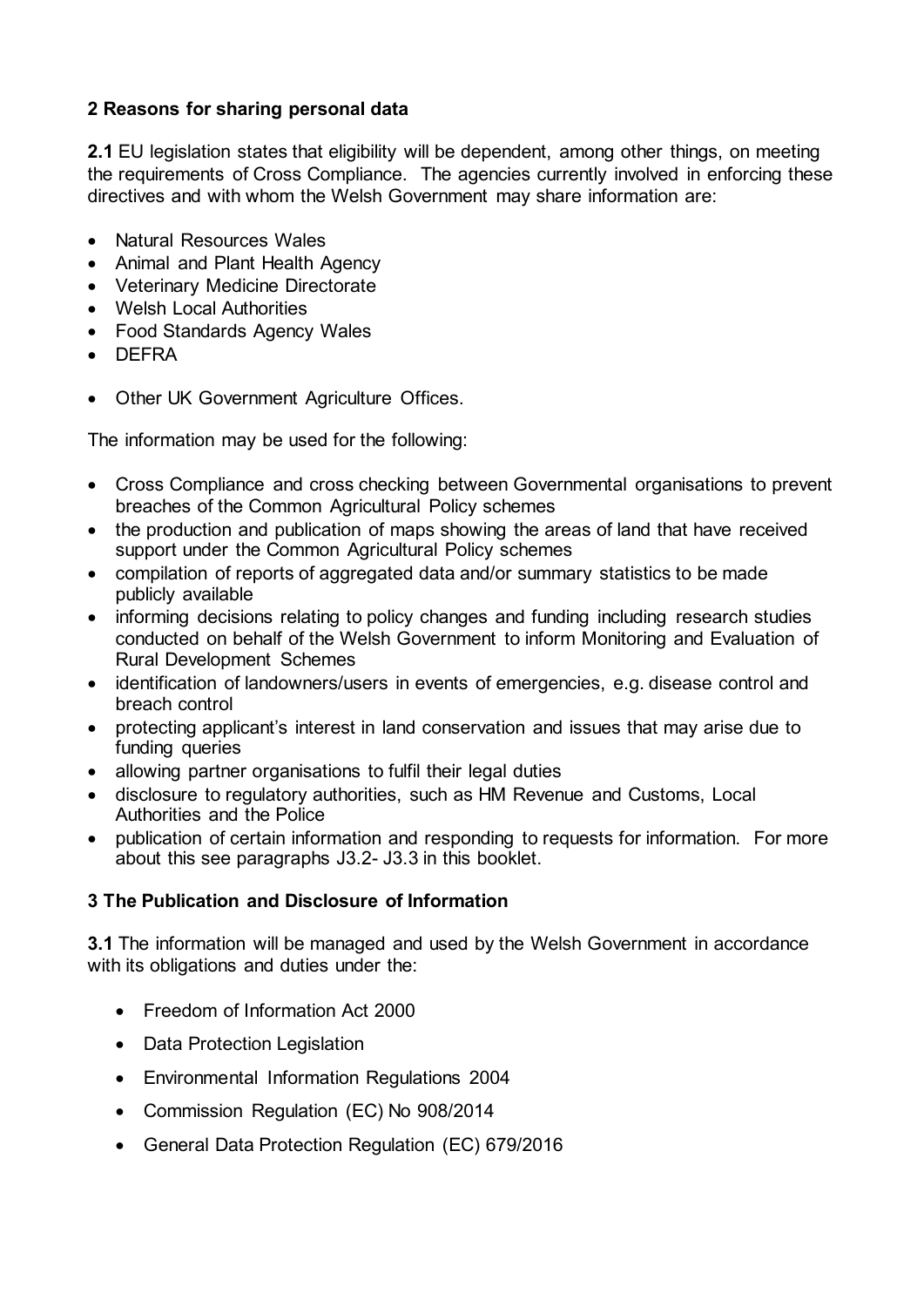## **2 Reasons for sharing personal data**

**2.1** EU legislation states that eligibility will be dependent, among other things, on meeting the requirements of Cross Compliance. The agencies currently involved in enforcing these directives and with whom the Welsh Government may share information are:

- Natural Resources Wales
- Animal and Plant Health Agency
- Veterinary Medicine Directorate
- Welsh Local Authorities
- Food Standards Agency Wales
- DEFRA
- Other UK Government Agriculture Offices.

The information may be used for the following:

- Cross Compliance and cross checking between Governmental organisations to prevent breaches of the Common Agricultural Policy schemes
- the production and publication of maps showing the areas of land that have received support under the Common Agricultural Policy schemes
- compilation of reports of aggregated data and/or summary statistics to be made publicly available
- informing decisions relating to policy changes and funding including research studies conducted on behalf of the Welsh Government to inform Monitoring and Evaluation of Rural Development Schemes
- identification of landowners/users in events of emergencies, e.g. disease control and breach control
- protecting applicant's interest in land conservation and issues that may arise due to funding queries
- allowing partner organisations to fulfil their legal duties
- disclosure to regulatory authorities, such as HM Revenue and Customs, Local Authorities and the Police
- publication of certain information and responding to requests for information. For more about this see paragraphs J3.2- J3.3 in this booklet.

## **3 The Publication and Disclosure of Information**

**3.1** The information will be managed and used by the Welsh Government in accordance with its obligations and duties under the:

- Freedom of Information Act 2000
- Data Protection Legislation
- Environmental Information Regulations 2004
- Commission Regulation (EC) No 908/2014
- General Data Protection Regulation (EC) 679/2016